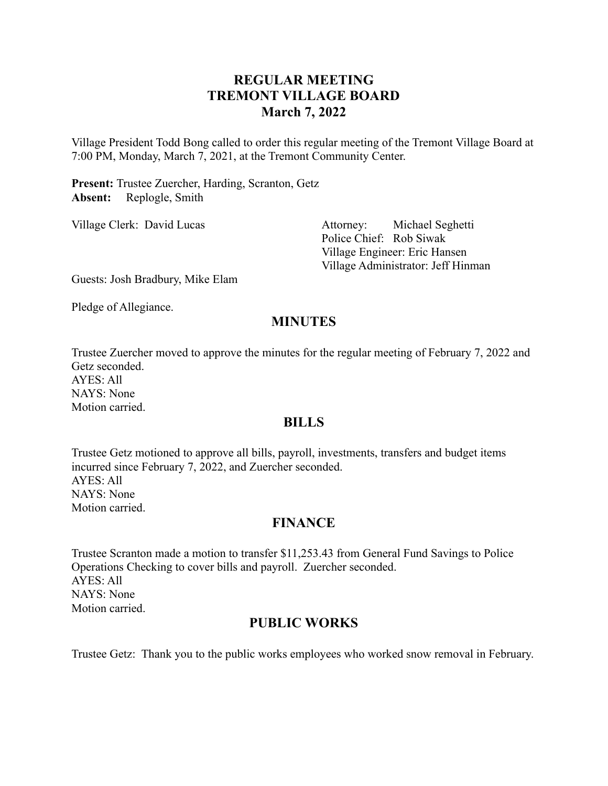## **REGULAR MEETING TREMONT VILLAGE BOARD March 7, 2022**

Village President Todd Bong called to order this regular meeting of the Tremont Village Board at 7:00 PM, Monday, March 7, 2021, at the Tremont Community Center.

**Present:** Trustee Zuercher, Harding, Scranton, Getz **Absent:** Replogle, Smith

Village Clerk: David Lucas Attorney: Michael Seghetti Police Chief: Rob Siwak Village Engineer: Eric Hansen Village Administrator: Jeff Hinman

Guests: Josh Bradbury, Mike Elam

Pledge of Allegiance.

## **MINUTES**

Trustee Zuercher moved to approve the minutes for the regular meeting of February 7, 2022 and Getz seconded. AYES: All NAYS: None

Motion carried.

#### **BILLS**

Trustee Getz motioned to approve all bills, payroll, investments, transfers and budget items incurred since February 7, 2022, and Zuercher seconded. AYES: All NAYS: None Motion carried.

#### **FINANCE**

Trustee Scranton made a motion to transfer \$11,253.43 from General Fund Savings to Police Operations Checking to cover bills and payroll. Zuercher seconded. AYES: All NAYS: None Motion carried.

#### **PUBLIC WORKS**

Trustee Getz: Thank you to the public works employees who worked snow removal in February.